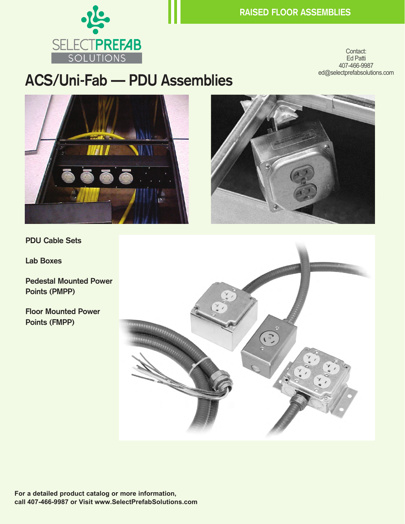

Contact: Ed Patti 407-466-9987 ed@selectprefabsolutions.com

## **ACS/Uni-Fab — PDU Assemblies**





**PDU Cable Sets**

**Lab Boxes**

**Pedestal Mounted Power Points (PMPP)**

**Floor Mounted Power Points (FMPP)**

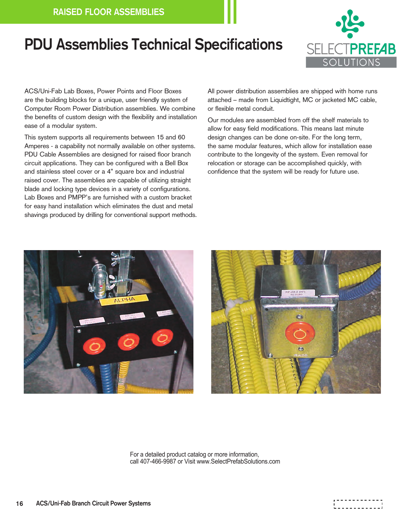## **PDU Assemblies Technical Specifications**



ACS/Uni-Fab Lab Boxes, Power Points and Floor Boxes are the building blocks for a unique, user friendly system of Computer Room Power Distribution assemblies. We combine the benefits of custom design with the flexibility and installation ease of a modular system.

This system supports all requirements between 15 and 60 Amperes - a capability not normally available on other systems. PDU Cable Assemblies are designed for raised floor branch circuit applications. They can be configured with a Bell Box and stainless steel cover or a 4" square box and industrial raised cover. The assemblies are capable of utilizing straight blade and locking type devices in a variety of configurations. Lab Boxes and PMPP's are furnished with a custom bracket for easy hand installation which eliminates the dust and metal shavings produced by drilling for conventional support methods. All power distribution assemblies are shipped with home runs attached – made from Liquidtight, MC or jacketed MC cable, or flexible metal conduit.

Our modules are assembled from off the shelf materials to allow for easy field modifications. This means last minute design changes can be done on-site. For the long term, the same modular features, which allow for installation ease contribute to the longevity of the system. Even removal for relocation or storage can be accomplished quickly, with confidence that the system will be ready for future use.





For a detailed product catalog or more information, call 407-466-9987 or Visit www.SelectPrefabSolutions.com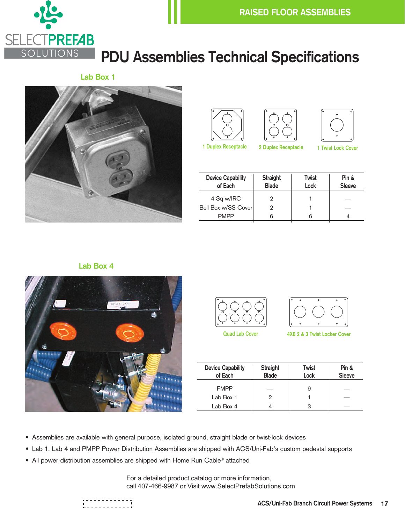

# **PDU Assemblies Technical Specifications**

**Lab Box 1**









| <b>Device Capability</b><br>of Each | <b>Straight</b><br><b>Blade</b> | Twist<br>Lock | Pin &<br><b>Sleeve</b> |
|-------------------------------------|---------------------------------|---------------|------------------------|
| 4 Sq w/IRC                          | 2                               |               |                        |
| Bell Box w/SS Cover                 | 2                               |               |                        |
| <b>PMPP</b>                         |                                 | ิค            |                        |

#### **Lab Box 4**







**Quad Lab Cover 4X8 2 & 3 Twist Locker Cover**

| <b>Device Capability</b><br>of Each | <b>Straight</b><br><b>Blade</b> | Twist<br>Lock | Pin &<br><b>Sleeve</b> |
|-------------------------------------|---------------------------------|---------------|------------------------|
| <b>FMPP</b>                         |                                 | 9             |                        |
| Lab Box 1                           | 2                               |               |                        |
| Lab Box 4                           |                                 | з             |                        |

- Assemblies are available with general purpose, isolated ground, straight blade or twist-lock devices
- Lab 1, Lab 4 and PMPP Power Distribution Assemblies are shipped with ACS/Uni-Fab's custom pedestal supports
- All power distribution assemblies are shipped with Home Run Cable® attached

For a detailed product catalog or more information, call 407-466-9987 or Visit www.SelectPrefabSolutions.com